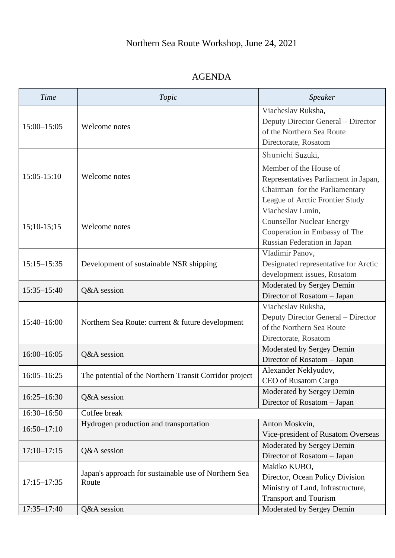## AGENDA

| Time            | Topic                                                         | Speaker                                                                                                                             |
|-----------------|---------------------------------------------------------------|-------------------------------------------------------------------------------------------------------------------------------------|
| 15:00-15:05     | Welcome notes                                                 | Viacheslav Ruksha,<br>Deputy Director General – Director<br>of the Northern Sea Route<br>Directorate, Rosatom                       |
| 15:05-15:10     | Welcome notes                                                 | Shunichi Suzuki,                                                                                                                    |
|                 |                                                               | Member of the House of<br>Representatives Parliament in Japan,<br>Chairman for the Parliamentary<br>League of Arctic Frontier Study |
|                 |                                                               | Viacheslav Lunin,                                                                                                                   |
| $15;10-15;15$   | Welcome notes                                                 | <b>Counsellor Nuclear Energy</b><br>Cooperation in Embassy of The<br>Russian Federation in Japan                                    |
|                 | Development of sustainable NSR shipping                       | Vladimir Panov,                                                                                                                     |
| $15:15 - 15:35$ |                                                               | Designated representative for Arctic                                                                                                |
|                 |                                                               | development issues, Rosatom                                                                                                         |
| $15:35 - 15:40$ | Q&A session                                                   | Moderated by Sergey Demin                                                                                                           |
|                 |                                                               | Director of Rosatom - Japan                                                                                                         |
| 15:40-16:00     | Northern Sea Route: current & future development              | Viacheslav Ruksha,                                                                                                                  |
|                 |                                                               | Deputy Director General - Director                                                                                                  |
|                 |                                                               | of the Northern Sea Route                                                                                                           |
|                 |                                                               | Directorate, Rosatom                                                                                                                |
| $16:00 - 16:05$ | Q&A session                                                   | Moderated by Sergey Demin                                                                                                           |
|                 |                                                               | Director of Rosatom - Japan                                                                                                         |
| $16:05 - 16:25$ | The potential of the Northern Transit Corridor project        | Alexander Neklyudov,                                                                                                                |
|                 |                                                               | CEO of Rusatom Cargo                                                                                                                |
| $16:25 - 16:30$ | Q&A session                                                   | Moderated by Sergey Demin<br>Director of Rosatom - Japan                                                                            |
| 16:30-16:50     | Coffee break                                                  |                                                                                                                                     |
| $16:50 - 17:10$ | Hydrogen production and transportation                        | Anton Moskvin,                                                                                                                      |
|                 |                                                               | Vice-president of Rusatom Overseas                                                                                                  |
| $17:10 - 17:15$ | Q&A session                                                   | Moderated by Sergey Demin                                                                                                           |
|                 |                                                               | Director of Rosatom - Japan                                                                                                         |
| $17:15 - 17:35$ | Japan's approach for sustainable use of Northern Sea<br>Route | Makiko KUBO,                                                                                                                        |
|                 |                                                               | Director, Ocean Policy Division                                                                                                     |
|                 |                                                               | Ministry of Land, Infrastructure,                                                                                                   |
|                 |                                                               | <b>Transport and Tourism</b>                                                                                                        |
| 17:35-17:40     | Q&A session                                                   | Moderated by Sergey Demin                                                                                                           |